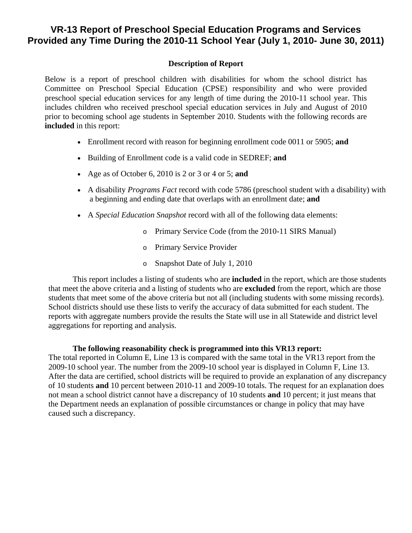## **VR-13 Report of Preschool Special Education Programs and Services Provided any Time During the 2010-11 School Year (July 1, 2010- June 30, 2011)**

## **Description of Report**

Below is a report of preschool children with disabilities for whom the school district has Committee on Preschool Special Education (CPSE) responsibility and who were provided preschool special education services for any length of time during the 2010-11 school year. This includes children who received preschool special education services in July and August of 2010 prior to becoming school age students in September 2010. Students with the following records are **included** in this report:

- Enrollment record with reason for beginning enrollment code 0011 or 5905; **and**
- Building of Enrollment code is a valid code in SEDREF; **and**
- Age as of October 6, 2010 is 2 or 3 or 4 or 5; **and**
- A disability *Programs Fact* record with code 5786 (preschool student with a disability) with a beginning and ending date that overlaps with an enrollment date; **and**
- A *Special Education Snapshot* record with all of the following data elements:
	- o Primary Service Code (from the 2010-11 SIRS Manual)
	- o Primary Service Provider
	- o Snapshot Date of July 1, 2010

This report includes a listing of students who are **included** in the report, which are those students that meet the above criteria and a listing of students who are **excluded** from the report, which are those students that meet some of the above criteria but not all (including students with some missing records). School districts should use these lists to verify the accuracy of data submitted for each student. The reports with aggregate numbers provide the results the State will use in all Statewide and district level aggregations for reporting and analysis.

## **The following reasonability check is programmed into this VR13 report:**

The total reported in Column E, Line 13 is compared with the same total in the VR13 report from the 2009-10 school year. The number from the 2009-10 school year is displayed in Column F, Line 13. After the data are certified, school districts will be required to provide an explanation of any discrepancy of 10 students **and** 10 percent between 2010-11 and 2009-10 totals. The request for an explanation does not mean a school district cannot have a discrepancy of 10 students **and** 10 percent; it just means that the Department needs an explanation of possible circumstances or change in policy that may have caused such a discrepancy.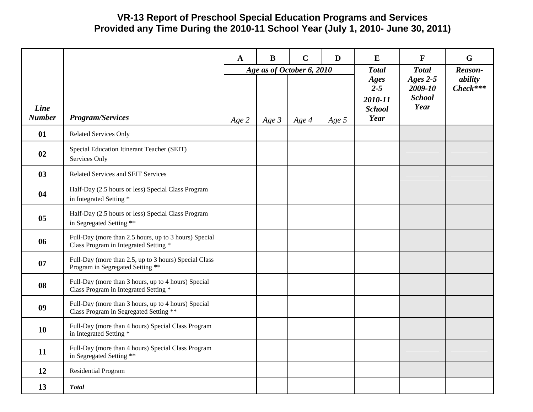## **VR-13 Report of Preschool Special Education Programs and Services Provided any Time During the 2010-11 School Year (July 1, 2010- June 30, 2011)**

|                       |                                                                                                | $\mathbf{A}$ | $\bf{B}$ | $\mathbf C$                        | D       | E                                                                   | $\mathbf{F}$                                                   | G                                |
|-----------------------|------------------------------------------------------------------------------------------------|--------------|----------|------------------------------------|---------|---------------------------------------------------------------------|----------------------------------------------------------------|----------------------------------|
| Line<br><b>Number</b> | <b>Program/Services</b>                                                                        | Age 2        | Age $3$  | Age as of October 6, 2010<br>Age 4 | Age $5$ | <b>Total</b><br>Ages<br>$2 - 5$<br>2010-11<br><b>School</b><br>Year | <b>Total</b><br>Ages $2-5$<br>2009-10<br><b>School</b><br>Year | Reason-<br>ability<br>$Check***$ |
| 01                    | <b>Related Services Only</b>                                                                   |              |          |                                    |         |                                                                     |                                                                |                                  |
| 02                    | Special Education Itinerant Teacher (SEIT)<br>Services Only                                    |              |          |                                    |         |                                                                     |                                                                |                                  |
| 03                    | <b>Related Services and SEIT Services</b>                                                      |              |          |                                    |         |                                                                     |                                                                |                                  |
| 04                    | Half-Day (2.5 hours or less) Special Class Program<br>in Integrated Setting *                  |              |          |                                    |         |                                                                     |                                                                |                                  |
| 05                    | Half-Day (2.5 hours or less) Special Class Program<br>in Segregated Setting **                 |              |          |                                    |         |                                                                     |                                                                |                                  |
| 06                    | Full-Day (more than 2.5 hours, up to 3 hours) Special<br>Class Program in Integrated Setting * |              |          |                                    |         |                                                                     |                                                                |                                  |
| 07                    | Full-Day (more than 2.5, up to 3 hours) Special Class<br>Program in Segregated Setting **      |              |          |                                    |         |                                                                     |                                                                |                                  |
| 08                    | Full-Day (more than 3 hours, up to 4 hours) Special<br>Class Program in Integrated Setting *   |              |          |                                    |         |                                                                     |                                                                |                                  |
| 09                    | Full-Day (more than 3 hours, up to 4 hours) Special<br>Class Program in Segregated Setting **  |              |          |                                    |         |                                                                     |                                                                |                                  |
| 10                    | Full-Day (more than 4 hours) Special Class Program<br>in Integrated Setting *                  |              |          |                                    |         |                                                                     |                                                                |                                  |
| 11                    | Full-Day (more than 4 hours) Special Class Program<br>in Segregated Setting **                 |              |          |                                    |         |                                                                     |                                                                |                                  |
| 12                    | Residential Program                                                                            |              |          |                                    |         |                                                                     |                                                                |                                  |
| 13                    | <b>Total</b>                                                                                   |              |          |                                    |         |                                                                     |                                                                |                                  |